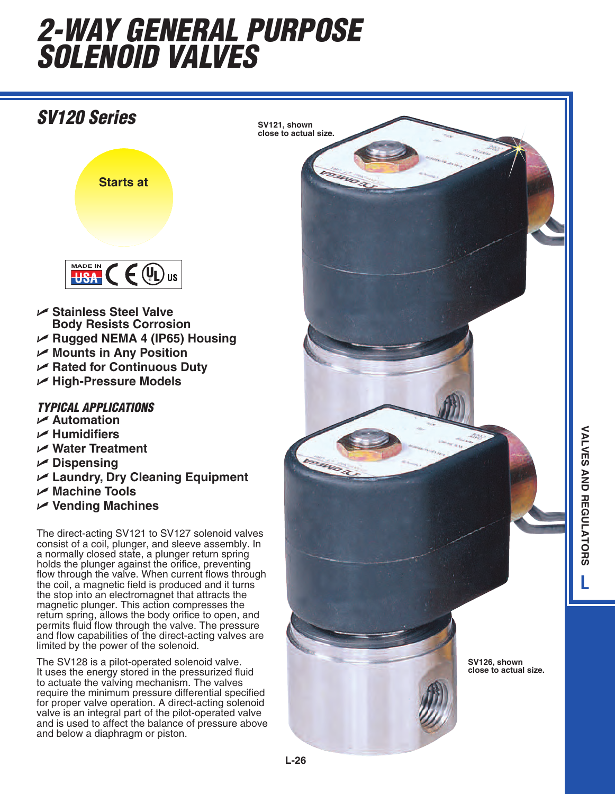# *2-WAY GENERAL PURPOSE SOLENOID VALVES*

# *SV120 Series*





- **Stainless Steel Valve Body Resists Corrosion**
- **Rugged NEMA 4 (IP65) Housing**
- **Mounts in Any Position**
- $⊬$  **Rated for Continuous Duty**
- **High-Pressure Models**

### *TYPICAL APPLICATIONS*

- **Automation**
- **Humidifiers**
- **Water Treatment**
- **Dispensing**
- **Laundry, Dry Cleaning Equipment**
- **Machine Tools**
- **Vending Machines**

The direct-acting SV121 to SV127 solenoid valves consist of a coil, plunger, and sleeve assembly. In a normally closed state, a plunger return spring holds the plunger against the orifice, preventing flow through the valve. When current flows through the coil, a magnetic field is produced and it turns the stop into an electromagnet that attracts the magnetic plunger. This action compresses the return spring, allows the body orifice to open, and permits fluid flow through the valve. The pressure and flow capabilities of the direct-acting valves are limited by the power of the solenoid.

The SV128 is a pilot-operated solenoid valve. It uses the energy stored in the pressurized fluid to actuate the valving mechanism. The valves require the minimum pressure differential specified for proper valve operation. A direct-acting solenoid valve is an integral part of the pilot-operated valve and is used to affect the balance of pressure above and below a diaphragm or piston.